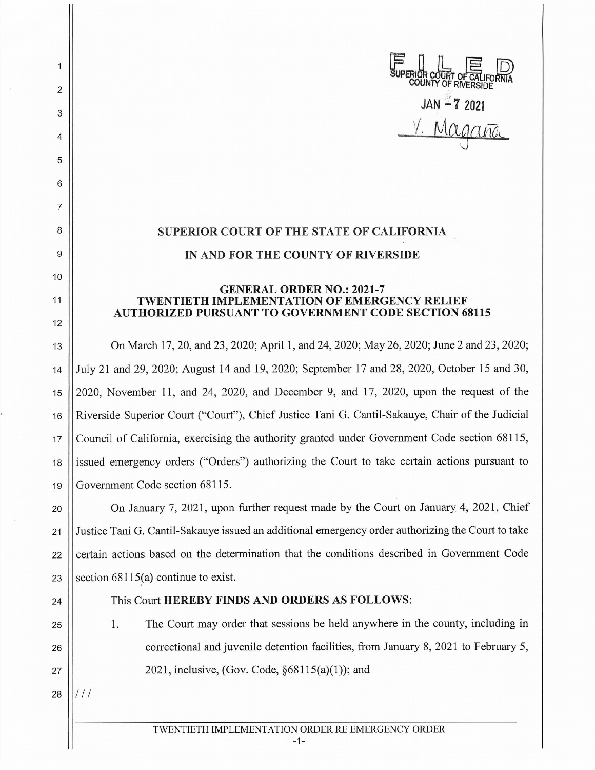**WERIOR COURT OF CALIFORNIA COUNTY** OF RNERSIDE JAN **1 7** <sup>2021</sup> V. Magana

## **SUPERIOR COURT OF THE STATE OF CALIFORNIA**

## **IN AND FOR THE COUNTY OF RIVERSIDE**

## **GENERAL ORDER NO.: 2021-7 TWENTIETH IMPLEMENTATION OF EMERGENCY RELIEF AUTHORIZED PURSUANT TO GOVERNMENT CODE SECTION 68115**

13 On March 17, 20, and 23, 2020; April 1, and 24, 2020; May 26, 2020; June 2 and 23, 2020; 14 July 21 and 29, 2020; August 14 and 19, 2020; September 17 and 28, 2020, October 15 and 30, 15 2020, November 11, and 24, 2020, and December 9, and 17, 2020, upon the request of the 16 Riverside Superior Court ("Court"), Chief Justice Tani G. Cantil-Sakauye, Chair of the Judicial 17 Council of California, exercising the authority granted under Government Code section 68115, 18 || issued emergency orders ("Orders") authorizing the Court to take certain actions pursuant to 19 Government Code section 68115.

**On January 7, 2021, upon further request made by the Court on January 4, 2021, Chief** 21 Justice Tani G. Cantil-Sakauye issued an additional emergency order authorizing the Court to take | certain actions based on the determination that the conditions described in Government Code  $\vert$  section 68115(a) continue to exist.

2

1

3

4

5

6

7

8

9

10

11

12

## 24 This Court **HEREBY FINDS AND ORDERS AS FOLLOWS:**

25 1. The Court may order that sessions be held anywhere in the county, including in 26 **correctional and juvenile detention facilities, from January 8, 2021 to February 5,** 27  $\vert$  2021, inclusive, (Gov. Code, §68115(a)(1)); and

 $28$   $11/11$